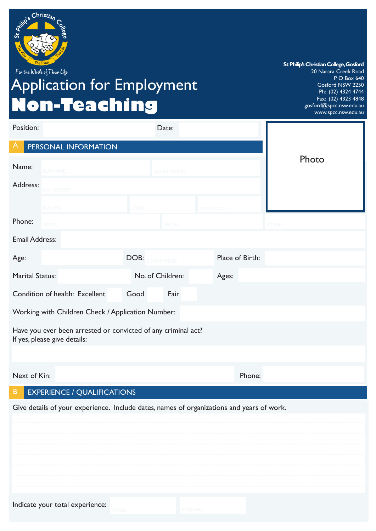

For the Whole of Their Life

# Application for Employment **Non-Teaching**

**St Philip's Christian College, Gosford** 20 Narara Creek Road P O Box 640 Gosford NSW 2250 Ph: (02) 4324 4744 Fax: (02) 4323 4848 gosford@spcc.nsw.edu.au www.spcc.nsw.edu.au

| Position:              |                                                                                               |                  |                    |                 |                 |               |
|------------------------|-----------------------------------------------------------------------------------------------|------------------|--------------------|-----------------|-----------------|---------------|
| A                      | PERSONAL INFORMATION                                                                          |                  |                    |                 |                 |               |
| Name:                  | SURNAME                                                                                       |                  | <b>GIVEN NAMES</b> |                 |                 | Photo         |
| Address:               | No / STREET                                                                                   |                  |                    |                 |                 |               |
|                        | <b>SUBURB</b>                                                                                 | <b>STATE</b>     |                    | <b>POSTCODE</b> |                 |               |
| Phone:                 | <b>HOME</b>                                                                                   |                  | <b>WORK</b>        |                 |                 | <b>MOBILE</b> |
| <b>Email Address:</b>  |                                                                                               |                  |                    |                 |                 |               |
| Age:                   |                                                                                               | DOB:             | DD/MM/YEAR         |                 | Place of Birth: |               |
| <b>Marital Status:</b> |                                                                                               | No. of Children: |                    |                 | Ages:           |               |
|                        | Condition of health: Excellent                                                                | Good             | Fair               |                 |                 |               |
|                        | Working with Children Check / Application Number:                                             |                  |                    |                 |                 |               |
|                        | Have you ever been arrested or convicted of any criminal act?<br>If yes, please give details: |                  |                    |                 |                 |               |
|                        |                                                                                               |                  |                    |                 |                 |               |
| Next of Kin:           |                                                                                               |                  |                    |                 | Phone:          |               |
| B                      | <b>EXPERIENCE / QUALIFICATIONS</b>                                                            |                  |                    |                 |                 |               |
|                        | Give details of your experience. Include dates, names of organizations and years of work.     |                  |                    |                 |                 |               |
|                        |                                                                                               |                  |                    |                 |                 |               |
|                        |                                                                                               |                  |                    |                 |                 |               |
|                        |                                                                                               |                  |                    |                 |                 |               |
|                        |                                                                                               |                  |                    |                 |                 |               |
|                        |                                                                                               |                  |                    |                 |                 |               |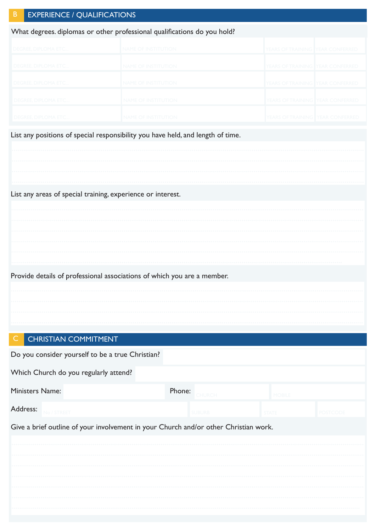| в | <b>EXPERIENCE / QUALIFICATIONS</b>                                       |                            |                                         |  |  |  |  |  |  |  |  |
|---|--------------------------------------------------------------------------|----------------------------|-----------------------------------------|--|--|--|--|--|--|--|--|
|   | What degrees. diplomas or other professional qualifications do you hold? |                            |                                         |  |  |  |  |  |  |  |  |
|   | I DEGREE. DIPLOMA ETC                                                    | <b>NAME OF INSTITUTION</b> | YEARS OF TRAINING YEAR CONFERRED        |  |  |  |  |  |  |  |  |
|   | <b>DEGREE, DIPLOMA ETC</b>                                               | <b>NAME OF INSTITUTION</b> | YEARS OF TRAINING YEAR CONFERRED        |  |  |  |  |  |  |  |  |
|   | <b>DEGREE, DIPLOMA ETC</b>                                               | <b>NAME OF INSTITUTION</b> | YEARS OF TRAINING YEAR CONFERRED        |  |  |  |  |  |  |  |  |
|   | <b>DEGREE, DIPLOMA ETC</b>                                               | <b>NAME OF INSTITUTION</b> | <b>YEARS OF TRAINING YEAR CONFERRED</b> |  |  |  |  |  |  |  |  |
|   | <b>DEGREE, DIPLOMA ETC</b>                                               | <b>NAME OF INSTITUTION</b> | YEARS OF TRAINING I YEAR CONFERRED      |  |  |  |  |  |  |  |  |

List any positions of special responsibility you have held, and length of time.

| List any areas of special training, experience or interest. |  |  |  |  |  |  |  |  |  |  |  |  |  |  |
|-------------------------------------------------------------|--|--|--|--|--|--|--|--|--|--|--|--|--|--|
|                                                             |  |  |  |  |  |  |  |  |  |  |  |  |  |  |
|                                                             |  |  |  |  |  |  |  |  |  |  |  |  |  |  |
|                                                             |  |  |  |  |  |  |  |  |  |  |  |  |  |  |
|                                                             |  |  |  |  |  |  |  |  |  |  |  |  |  |  |
|                                                             |  |  |  |  |  |  |  |  |  |  |  |  |  |  |
|                                                             |  |  |  |  |  |  |  |  |  |  |  |  |  |  |

Provide details of professional associations of which you are a member.

#### CHRISTIAN COMMITMENT  $\subset$

| Do you consider yourself to be a true Christian?                                     |  |               |               |         |  |  |  |  |  |  |
|--------------------------------------------------------------------------------------|--|---------------|---------------|---------|--|--|--|--|--|--|
| Which Church do you regularly attend?                                                |  |               |               |         |  |  |  |  |  |  |
| <b>Ministers Name:</b>                                                               |  | Phone: CHURCH | <b>MOBILE</b> |         |  |  |  |  |  |  |
| Address:<br>No / STRFFT                                                              |  | <b>SUBURB</b> | <b>STATE</b>  | POSTCOD |  |  |  |  |  |  |
| Give a brief outline of your involvement in your Church and/or other Christian work. |  |               |               |         |  |  |  |  |  |  |
|                                                                                      |  |               |               |         |  |  |  |  |  |  |
|                                                                                      |  |               |               |         |  |  |  |  |  |  |
|                                                                                      |  |               |               |         |  |  |  |  |  |  |
|                                                                                      |  |               |               |         |  |  |  |  |  |  |
|                                                                                      |  |               |               |         |  |  |  |  |  |  |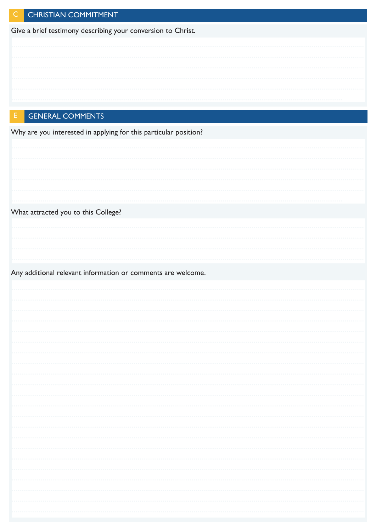|  | CHRISTIAN COMMITMENT |
|--|----------------------|

Give a brief testimony describing your conversion to Christ.

## **GENERAL COMMENTS**

Why are you interested in applying for this particular position?

| What attracted you to this College?                          |   |
|--------------------------------------------------------------|---|
|                                                              |   |
|                                                              |   |
|                                                              |   |
|                                                              |   |
|                                                              |   |
| Any additional relevant information or comments are welcome. |   |
|                                                              |   |
|                                                              |   |
|                                                              |   |
|                                                              |   |
|                                                              |   |
|                                                              |   |
|                                                              |   |
|                                                              |   |
|                                                              |   |
|                                                              |   |
|                                                              |   |
|                                                              |   |
|                                                              |   |
|                                                              |   |
|                                                              |   |
|                                                              |   |
|                                                              | . |
|                                                              |   |
|                                                              |   |
|                                                              | . |
|                                                              |   |
|                                                              |   |
|                                                              |   |